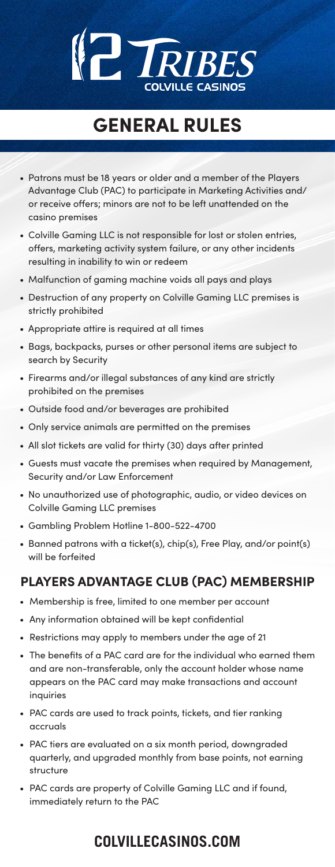# **TRIBE COLVILLE CASINOS**

### **GENERAL RULES**

- Patrons must be 18 years or older and a member of the Players Advantage Club (PAC) to participate in Marketing Activities and/ or receive offers; minors are not to be left unattended on the casino premises
- Colville Gaming LLC is not responsible for lost or stolen entries, offers, marketing activity system failure, or any other incidents resulting in inability to win or redeem
- Malfunction of gaming machine voids all pays and plays
- Destruction of any property on Colville Gaming LLC premises is strictly prohibited
- Appropriate attire is required at all times
- Bags, backpacks, purses or other personal items are subject to search by Security
- Firearms and/or illegal substances of any kind are strictly prohibited on the premises
- Outside food and/or beverages are prohibited
- Only service animals are permitted on the premises
- All slot tickets are valid for thirty (30) days after printed
- Guests must vacate the premises when required by Management, Security and/or Law Enforcement
- No unauthorized use of photographic, audio, or video devices on Colville Gaming LLC premises
- Gambling Problem Hotline 1-800-522-4700
- Banned patrons with a ticket(s), chip(s), Free Play, and/or point(s) will be forfeited

#### **PLAYERS ADVANTAGE CLUB (PAC) MEMBERSHIP**

- Membership is free, limited to one member per account
- Any information obtained will be kept confidential
- Restrictions may apply to members under the age of 21
- The benefits of a PAC card are for the individual who earned them and are non-transferable, only the account holder whose name appears on the PAC card may make transactions and account inquiries
- PAC cards are used to track points, tickets, and tier ranking accruals
- PAC tiers are evaluated on a six month period, downgraded quarterly, and upgraded monthly from base points, not earning structure
- PAC cards are property of Colville Gaming LLC and if found, immediately return to the PAC

#### **COLVILLECASINOS.COM**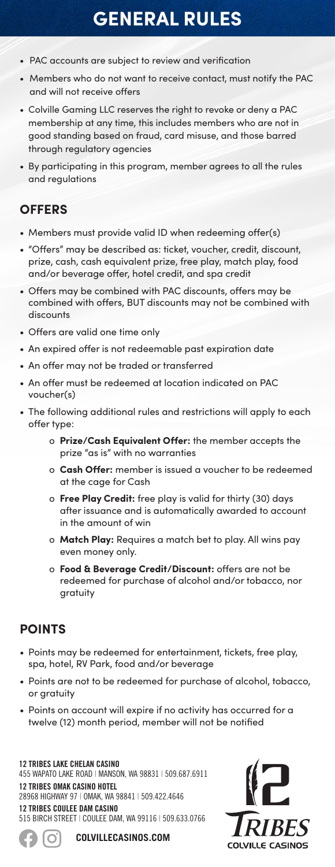## **GENERAL RULES**

- PAC accounts are subject to review and verification
- Members who do not want to receive contact, must notify the PAC and will not receive offers
- Colville Gaming LLC reserves the right to revoke or deny a PAC membership at any time, this includes members who are not in good standing based on fraud, card misuse, and those barred through regulatory agencies
- By participating in this program, member agrees to all the rules and regulations

#### **OFFERS**

- Members must provide valid ID when redeeming offer(s)
- "Offers" may be described as: ticket, voucher, credit, discount, prize, cash, cash equivalent prize, free play, match play, food and/or beverage offer, hotel credit, and spa credit
- Offers may be combined with PAC discounts, offers may be combined with offers, BUT discounts may not be combined with discounts
- Offers are valid one time only
- An expired offer is not redeemable past expiration date
- An offer may not be traded or transferred
- An offer must be redeemed at location indicated on PAC voucher(s)
- The following additional rules and restrictions will apply to each offer type:
	- o **Prize/Cash Equivalent Offer:** the member accepts the prize "as is" with no warranties
	- o **Cash Offer:** member is issued a voucher to be redeemed at the cage for Cash
	- o **Free Play Credit:** free play is valid for thirty (30) days after issuance and is automatically awarded to account in the amount of win
	- o **Match Play:** Requires a match bet to play. All wins pay even money only.
	- o **Food & Beverage Credit/Discount:** offers are not be redeemed for purchase of alcohol and/or tobacco, nor gratuity

#### **POINTS**

- Points may be redeemed for entertainment, tickets, free play, spa, hotel, RV Park, food and/or beverage
- Points are not to be redeemed for purchase of alcohol, tobacco, or gratuity
- Points on account will expire if no activity has occurred for a twelve (12) month period, member will not be notified

**12 TRIBES LAKE CHELAN CASINO** 455 WAPATO LAKE ROAD | MANSON, WA 98831 | 509.687.6911 **12 TRIBES OMAK CASINO HOTEL**  28968 HIGHWAY 97 | OMAK, WA 98841 | 509.422.4646 **12 TRIBES COULEE DAM CASINO** 515 BIRCH STREET | COULEE DAM, WA 99116 | 509.633.0766





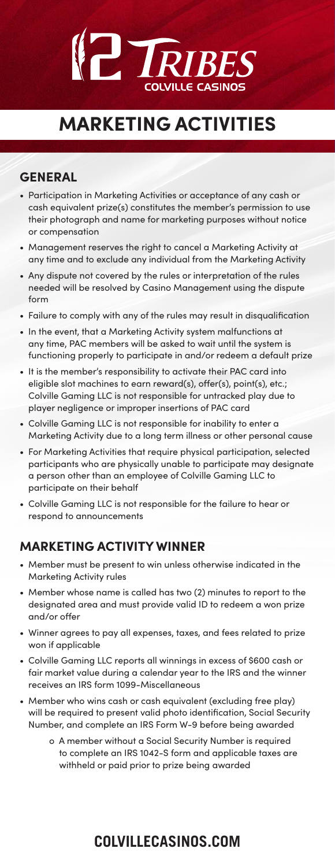# **TRIBES COLVILLE CASINOS**

## **MARKETING ACTIVITIES**

#### **GENERAL**

- Participation in Marketing Activities or acceptance of any cash or cash equivalent prize(s) constitutes the member's permission to use their photograph and name for marketing purposes without notice or compensation
- Management reserves the right to cancel a Marketing Activity at any time and to exclude any individual from the Marketing Activity
- Any dispute not covered by the rules or interpretation of the rules needed will be resolved by Casino Management using the dispute form
- Failure to comply with any of the rules may result in disqualification
- In the event, that a Marketing Activity system malfunctions at any time, PAC members will be asked to wait until the system is functioning properly to participate in and/or redeem a default prize
- It is the member's responsibility to activate their PAC card into eligible slot machines to earn reward(s), offer(s), point(s), etc.; Colville Gaming LLC is not responsible for untracked play due to player negligence or improper insertions of PAC card
- Colville Gaming LLC is not responsible for inability to enter a Marketing Activity due to a long term illness or other personal cause
- For Marketing Activities that require physical participation, selected participants who are physically unable to participate may designate a person other than an employee of Colville Gaming LLC to participate on their behalf
- Colville Gaming LLC is not responsible for the failure to hear or respond to announcements

#### **MARKETING ACTIVITY WINNER**

- Member must be present to win unless otherwise indicated in the Marketing Activity rules
- Member whose name is called has two (2) minutes to report to the designated area and must provide valid ID to redeem a won prize and/or offer
- Winner agrees to pay all expenses, taxes, and fees related to prize won if applicable
- Colville Gaming LLC reports all winnings in excess of \$600 cash or fair market value during a calendar year to the IRS and the winner receives an IRS form 1099-Miscellaneous
- Member who wins cash or cash equivalent (excluding free play) will be required to present valid photo identification, Social Security Number, and complete an IRS Form W-9 before being awarded
	- o A member without a Social Security Number is required to complete an IRS 1042-S form and applicable taxes are withheld or paid prior to prize being awarded

### **COLVILLECASINOS.COM**